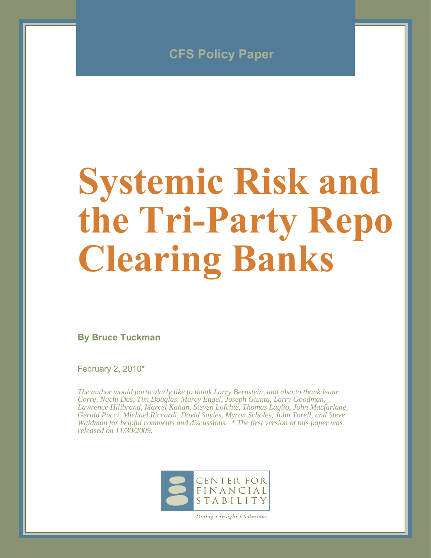

# **Systemic Risk and the Tri-Party Repo Clearing Banks**

**By Bruce Tuckman**

February 2, 2010\*

*The author would particularly like to thank Larry Bernstein, and also to thank Isaac Corre, Nachi Das, Tim Douglas, Marcy Engel, Joseph Giunta, Larry Goodman, Lawrence Hilibrand, Marcel Kahan, Steven Lofchie, Thomas Luglio, John Macfarlane, Gerald Pucci, Michael Riccardi, David Sayles, Myron Scholes, John Torell, and Steve Waldman for helpful comments and discussions. \* The first version of this paper was released on 11/30/2009.*



*Dialog • Insight • Solutions*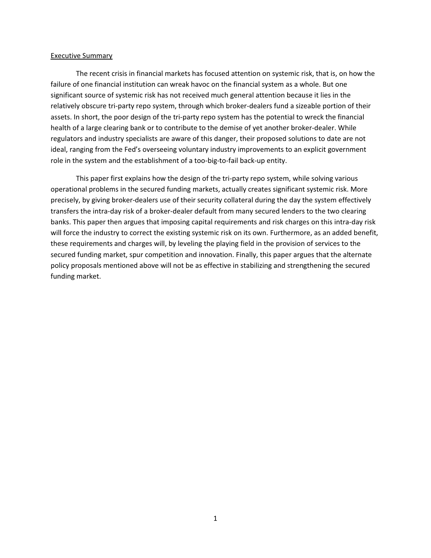#### Executive Summary

 The recent crisis in financial markets has focused attention on systemic risk, that is, on how the failure of one financial institution can wreak havoc on the financial system as a whole. But one significant source of systemic risk has not received much general attention because it lies in the relatively obscure tri-party repo system, through which broker-dealers fund a sizeable portion of their assets. In short, the poor design of the tri-party repo system has the potential to wreck the financial health of a large clearing bank or to contribute to the demise of yet another broker-dealer. While regulators and industry specialists are aware of this danger, their proposed solutions to date are not ideal, ranging from the Fed's overseeing voluntary industry improvements to an explicit government role in the system and the establishment of a too-big-to-fail back-up entity.

 This paper first explains how the design of the tri-party repo system, while solving various operational problems in the secured funding markets, actually creates significant systemic risk. More precisely, by giving broker-dealers use of their security collateral during the day the system effectively transfers the intra-day risk of a broker-dealer default from many secured lenders to the two clearing banks. This paper then argues that imposing capital requirements and risk charges on this intra-day risk will force the industry to correct the existing systemic risk on its own. Furthermore, as an added benefit, these requirements and charges will, by leveling the playing field in the provision of services to the secured funding market, spur competition and innovation. Finally, this paper argues that the alternate policy proposals mentioned above will not be as effective in stabilizing and strengthening the secured funding market.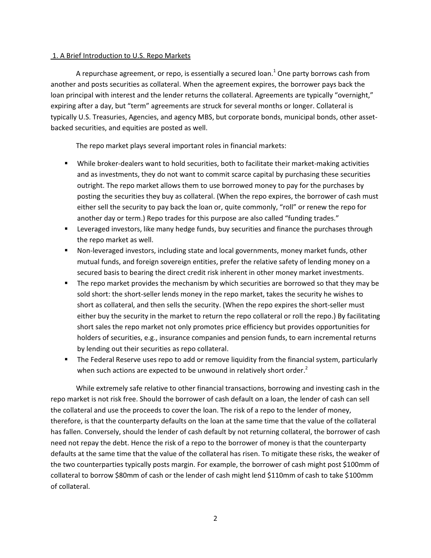## 1. A Brief Introduction to U.S. Repo Markets

A repurchase agreement, or repo, is essentially a secured loan.<sup>1</sup> One party borrows cash from another and posts securities as collateral. When the agreement expires, the borrower pays back the loan principal with interest and the lender returns the collateral. Agreements are typically "overnight," expiring after a day, but "term" agreements are struck for several months or longer. Collateral is typically U.S. Treasuries, Agencies, and agency MBS, but corporate bonds, municipal bonds, other assetbacked securities, and equities are posted as well.

The repo market plays several important roles in financial markets:

- While broker-dealers want to hold securities, both to facilitate their market-making activities and as investments, they do not want to commit scarce capital by purchasing these securities outright. The repo market allows them to use borrowed money to pay for the purchases by posting the securities they buy as collateral. (When the repo expires, the borrower of cash must either sell the security to pay back the loan or, quite commonly, "roll" or renew the repo for another day or term.) Repo trades for this purpose are also called "funding trades."
- **EXT** Leveraged investors, like many hedge funds, buy securities and finance the purchases through the repo market as well.
- Non-leveraged investors, including state and local governments, money market funds, other mutual funds, and foreign sovereign entities, prefer the relative safety of lending money on a secured basis to bearing the direct credit risk inherent in other money market investments.
- The repo market provides the mechanism by which securities are borrowed so that they may be sold short: the short-seller lends money in the repo market, takes the security he wishes to short as collateral, and then sells the security. (When the repo expires the short-seller must either buy the security in the market to return the repo collateral or roll the repo.) By facilitating short sales the repo market not only promotes price efficiency but provides opportunities for holders of securities, e.g., insurance companies and pension funds, to earn incremental returns by lending out their securities as repo collateral.
- The Federal Reserve uses repo to add or remove liquidity from the financial system, particularly when such actions are expected to be unwound in relatively short order.<sup>2</sup>

 While extremely safe relative to other financial transactions, borrowing and investing cash in the repo market is not risk free. Should the borrower of cash default on a loan, the lender of cash can sell the collateral and use the proceeds to cover the loan. The risk of a repo to the lender of money, therefore, is that the counterparty defaults on the loan at the same time that the value of the collateral has fallen. Conversely, should the lender of cash default by not returning collateral, the borrower of cash need not repay the debt. Hence the risk of a repo to the borrower of money is that the counterparty defaults at the same time that the value of the collateral has risen. To mitigate these risks, the weaker of the two counterparties typically posts margin. For example, the borrower of cash might post \$100mm of collateral to borrow \$80mm of cash or the lender of cash might lend \$110mm of cash to take \$100mm of collateral.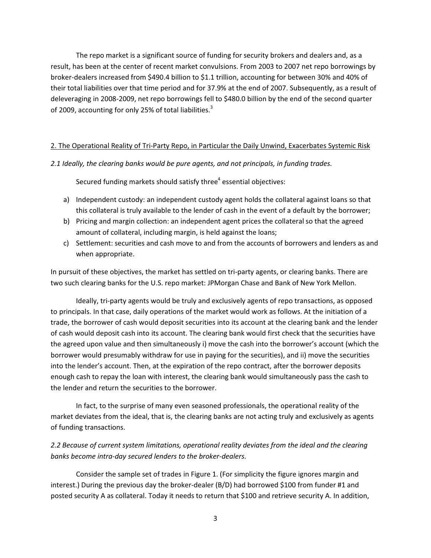The repo market is a significant source of funding for security brokers and dealers and, as a result, has been at the center of recent market convulsions. From 2003 to 2007 net repo borrowings by broker-dealers increased from \$490.4 billion to \$1.1 trillion, accounting for between 30% and 40% of their total liabilities over that time period and for 37.9% at the end of 2007. Subsequently, as a result of deleveraging in 2008-2009, net repo borrowings fell to \$480.0 billion by the end of the second quarter of 2009, accounting for only 25% of total liabilities.<sup>3</sup>

### 2. The Operational Reality of Tri-Party Repo, in Particular the Daily Unwind, Exacerbates Systemic Risk

#### *2.1 Ideally, the clearing banks would be pure agents, and not principals, in funding trades.*

Secured funding markets should satisfy three $4$  essential objectives:

- a) Independent custody: an independent custody agent holds the collateral against loans so that this collateral is truly available to the lender of cash in the event of a default by the borrower;
- b) Pricing and margin collection: an independent agent prices the collateral so that the agreed amount of collateral, including margin, is held against the loans;
- c) Settlement: securities and cash move to and from the accounts of borrowers and lenders as and when appropriate.

In pursuit of these objectives, the market has settled on tri-party agents, or clearing banks. There are two such clearing banks for the U.S. repo market: JPMorgan Chase and Bank of New York Mellon.

 Ideally, tri-party agents would be truly and exclusively agents of repo transactions, as opposed to principals. In that case, daily operations of the market would work as follows. At the initiation of a trade, the borrower of cash would deposit securities into its account at the clearing bank and the lender of cash would deposit cash into its account. The clearing bank would first check that the securities have the agreed upon value and then simultaneously i) move the cash into the borrower's account (which the borrower would presumably withdraw for use in paying for the securities), and ii) move the securities into the lender's account. Then, at the expiration of the repo contract, after the borrower deposits enough cash to repay the loan with interest, the clearing bank would simultaneously pass the cash to the lender and return the securities to the borrower.

 In fact, to the surprise of many even seasoned professionals, the operational reality of the market deviates from the ideal, that is, the clearing banks are not acting truly and exclusively as agents of funding transactions.

*2.2 Because of current system limitations, operational reality deviates from the ideal and the clearing banks become intra-day secured lenders to the broker-dealers.* 

 Consider the sample set of trades in Figure 1. (For simplicity the figure ignores margin and interest.) During the previous day the broker-dealer (B/D) had borrowed \$100 from funder #1 and posted security A as collateral. Today it needs to return that \$100 and retrieve security A. In addition,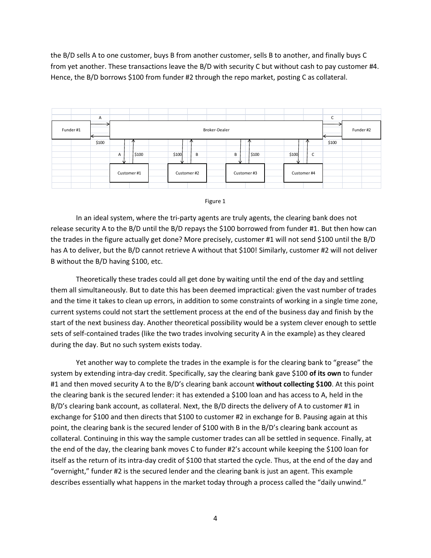the B/D sells A to one customer, buys B from another customer, sells B to another, and finally buys C from yet another. These transactions leave the B/D with security C but without cash to pay customer #4. Hence, the B/D borrows \$100 from funder #2 through the repo market, posting C as collateral.





 In an ideal system, where the tri-party agents are truly agents, the clearing bank does not release security A to the B/D until the B/D repays the \$100 borrowed from funder #1. But then how can the trades in the figure actually get done? More precisely, customer #1 will not send \$100 until the B/D has A to deliver, but the B/D cannot retrieve A without that \$100! Similarly, customer #2 will not deliver B without the B/D having \$100, etc.

 Theoretically these trades could all get done by waiting until the end of the day and settling them all simultaneously. But to date this has been deemed impractical: given the vast number of trades and the time it takes to clean up errors, in addition to some constraints of working in a single time zone, current systems could not start the settlement process at the end of the business day and finish by the start of the next business day. Another theoretical possibility would be a system clever enough to settle sets of self-contained trades (like the two trades involving security A in the example) as they cleared during the day. But no such system exists today.

 Yet another way to complete the trades in the example is for the clearing bank to "grease" the system by extending intra-day credit. Specifically, say the clearing bank gave \$100 **of its own** to funder #1 and then moved security A to the B/D's clearing bank account **without collecting \$100**. At this point the clearing bank is the secured lender: it has extended a \$100 loan and has access to A, held in the B/D's clearing bank account, as collateral. Next, the B/D directs the delivery of A to customer #1 in exchange for \$100 and then directs that \$100 to customer #2 in exchange for B. Pausing again at this point, the clearing bank is the secured lender of \$100 with B in the B/D's clearing bank account as collateral. Continuing in this way the sample customer trades can all be settled in sequence. Finally, at the end of the day, the clearing bank moves C to funder #2's account while keeping the \$100 loan for itself as the return of its intra-day credit of \$100 that started the cycle. Thus, at the end of the day and "overnight," funder #2 is the secured lender and the clearing bank is just an agent. This example describes essentially what happens in the market today through a process called the "daily unwind."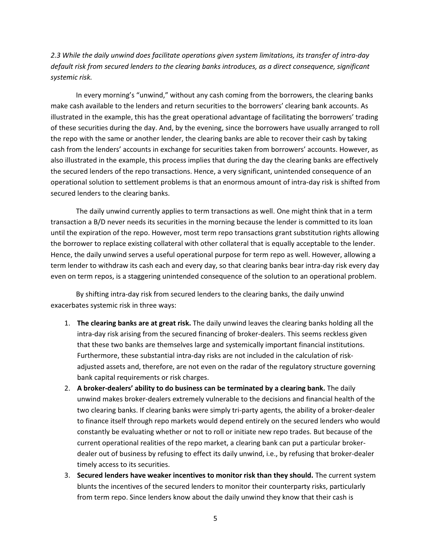*2.3 While the daily unwind does facilitate operations given system limitations, its transfer of intra-day default risk from secured lenders to the clearing banks introduces, as a direct consequence, significant systemic risk.* 

 In every morning's "unwind," without any cash coming from the borrowers, the clearing banks make cash available to the lenders and return securities to the borrowers' clearing bank accounts. As illustrated in the example, this has the great operational advantage of facilitating the borrowers' trading of these securities during the day. And, by the evening, since the borrowers have usually arranged to roll the repo with the same or another lender, the clearing banks are able to recover their cash by taking cash from the lenders' accounts in exchange for securities taken from borrowers' accounts. However, as also illustrated in the example, this process implies that during the day the clearing banks are effectively the secured lenders of the repo transactions. Hence, a very significant, unintended consequence of an operational solution to settlement problems is that an enormous amount of intra-day risk is shifted from secured lenders to the clearing banks.

 The daily unwind currently applies to term transactions as well. One might think that in a term transaction a B/D never needs its securities in the morning because the lender is committed to its loan until the expiration of the repo. However, most term repo transactions grant substitution rights allowing the borrower to replace existing collateral with other collateral that is equally acceptable to the lender. Hence, the daily unwind serves a useful operational purpose for term repo as well. However, allowing a term lender to withdraw its cash each and every day, so that clearing banks bear intra-day risk every day even on term repos, is a staggering unintended consequence of the solution to an operational problem.

 By shifting intra-day risk from secured lenders to the clearing banks, the daily unwind exacerbates systemic risk in three ways:

- 1. **The clearing banks are at great risk.** The daily unwind leaves the clearing banks holding all the intra-day risk arising from the secured financing of broker-dealers. This seems reckless given that these two banks are themselves large and systemically important financial institutions. Furthermore, these substantial intra-day risks are not included in the calculation of riskadjusted assets and, therefore, are not even on the radar of the regulatory structure governing bank capital requirements or risk charges.
- 2. **A broker-dealers' ability to do business can be terminated by a clearing bank.** The daily unwind makes broker-dealers extremely vulnerable to the decisions and financial health of the two clearing banks. If clearing banks were simply tri-party agents, the ability of a broker-dealer to finance itself through repo markets would depend entirely on the secured lenders who would constantly be evaluating whether or not to roll or initiate new repo trades. But because of the current operational realities of the repo market, a clearing bank can put a particular brokerdealer out of business by refusing to effect its daily unwind, i.e., by refusing that broker-dealer timely access to its securities.
- 3. **Secured lenders have weaker incentives to monitor risk than they should.** The current system blunts the incentives of the secured lenders to monitor their counterparty risks, particularly from term repo. Since lenders know about the daily unwind they know that their cash is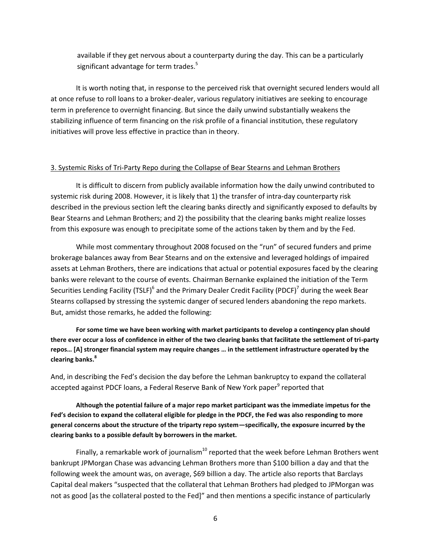available if they get nervous about a counterparty during the day. This can be a particularly significant advantage for term trades. $^5$ 

 It is worth noting that, in response to the perceived risk that overnight secured lenders would all at once refuse to roll loans to a broker-dealer, various regulatory initiatives are seeking to encourage term in preference to overnight financing. But since the daily unwind substantially weakens the stabilizing influence of term financing on the risk profile of a financial institution, these regulatory initiatives will prove less effective in practice than in theory.

#### 3. Systemic Risks of Tri-Party Repo during the Collapse of Bear Stearns and Lehman Brothers

 It is difficult to discern from publicly available information how the daily unwind contributed to systemic risk during 2008. However, it is likely that 1) the transfer of intra-day counterparty risk described in the previous section left the clearing banks directly and significantly exposed to defaults by Bear Stearns and Lehman Brothers; and 2) the possibility that the clearing banks might realize losses from this exposure was enough to precipitate some of the actions taken by them and by the Fed.

 While most commentary throughout 2008 focused on the "run" of secured funders and prime brokerage balances away from Bear Stearns and on the extensive and leveraged holdings of impaired assets at Lehman Brothers, there are indications that actual or potential exposures faced by the clearing banks were relevant to the course of events. Chairman Bernanke explained the initiation of the Term Securities Lending Facility (TSLF)<sup>6</sup> and the Primary Dealer Credit Facility (PDCF)<sup>7</sup> during the week Bear Stearns collapsed by stressing the systemic danger of secured lenders abandoning the repo markets. But, amidst those remarks, he added the following:

**For some time we have been working with market participants to develop a contingency plan should there ever occur a loss of confidence in either of the two clearing banks that facilitate the settlement of tri-party repos… [A] stronger financial system may require changes … in the settlement infrastructure operated by the clearing banks.<sup>8</sup>**

And, in describing the Fed's decision the day before the Lehman bankruptcy to expand the collateral accepted against PDCF loans, a Federal Reserve Bank of New York paper<sup>9</sup> reported that

 **Although the potential failure of a major repo market participant was the immediate impetus for the Fed's decision to expand the collateral eligible for pledge in the PDCF, the Fed was also responding to more general concerns about the structure of the triparty repo system—specifically, the exposure incurred by the clearing banks to a possible default by borrowers in the market.** 

Finally, a remarkable work of journalism<sup>10</sup> reported that the week before Lehman Brothers went bankrupt JPMorgan Chase was advancing Lehman Brothers more than \$100 billion a day and that the following week the amount was, on average, \$69 billion a day. The article also reports that Barclays Capital deal makers "suspected that the collateral that Lehman Brothers had pledged to JPMorgan was not as good [as the collateral posted to the Fed]" and then mentions a specific instance of particularly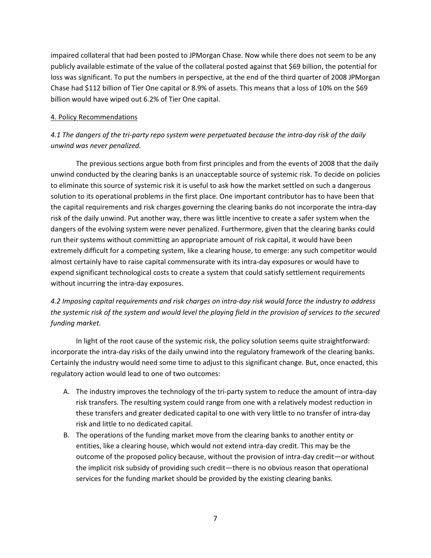impaired collateral that had been posted to JPMorgan Chase. Now while there does not seem to be any publicly available estimate of the value of the collateral posted against that \$69 billion, the potential for loss was significant. To put the numbers in perspective, at the end of the third quarter of 2008 JPMorgan Chase had \$112 billion of Tier One capital or 8.9% of assets. This means that a loss of 10% on the \$69 billion would have wiped out 6.2% of Tier One capital.

## 4. Policy Recommendations

## *4.1 The dangers of the tri-party repo system were perpetuated because the intra-day risk of the daily unwind was never penalized.*

 The previous sections argue both from first principles and from the events of 2008 that the daily unwind conducted by the clearing banks is an unacceptable source of systemic risk. To decide on policies to eliminate this source of systemic risk it is useful to ask how the market settled on such a dangerous solution to its operational problems in the first place. One important contributor has to have been that the capital requirements and risk charges governing the clearing banks do not incorporate the intra-day risk of the daily unwind. Put another way, there was little incentive to create a safer system when the dangers of the evolving system were never penalized. Furthermore, given that the clearing banks could run their systems without committing an appropriate amount of risk capital, it would have been extremely difficult for a competing system, like a clearing house, to emerge: any such competitor would almost certainly have to raise capital commensurate with its intra-day exposures or would have to expend significant technological costs to create a system that could satisfy settlement requirements without incurring the intra-day exposures.

# *4.2 Imposing capital requirements and risk charges on intra-day risk would force the industry to address the systemic risk of the system and would level the playing field in the provision of services to the secured funding market.*

 In light of the root cause of the systemic risk, the policy solution seems quite straightforward: incorporate the intra-day risks of the daily unwind into the regulatory framework of the clearing banks. Certainly the industry would need some time to adjust to this significant change. But, once enacted, this regulatory action would lead to one of two outcomes:

- A. The industry improves the technology of the tri-party system to reduce the amount of intra-day risk transfers. The resulting system could range from one with a relatively modest reduction in these transfers and greater dedicated capital to one with very little to no transfer of intra-day risk and little to no dedicated capital.
- B. The operations of the funding market move from the clearing banks to another entity or entities, like a clearing house, which would not extend intra-day credit. This may be the outcome of the proposed policy because, without the provision of intra-day credit—or without the implicit risk subsidy of providing such credit—there is no obvious reason that operational services for the funding market should be provided by the existing clearing banks.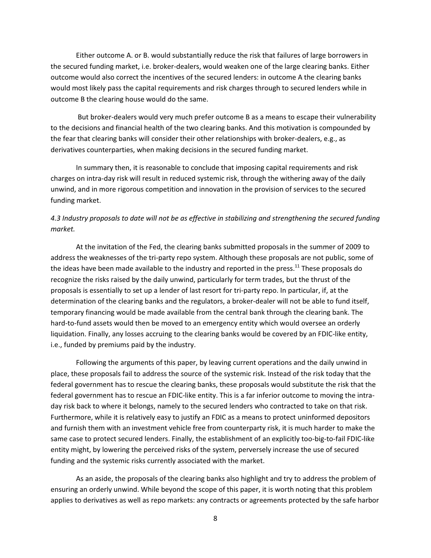Either outcome A. or B. would substantially reduce the risk that failures of large borrowers in the secured funding market, i.e. broker-dealers, would weaken one of the large clearing banks. Either outcome would also correct the incentives of the secured lenders: in outcome A the clearing banks would most likely pass the capital requirements and risk charges through to secured lenders while in outcome B the clearing house would do the same.

 But broker-dealers would very much prefer outcome B as a means to escape their vulnerability to the decisions and financial health of the two clearing banks. And this motivation is compounded by the fear that clearing banks will consider their other relationships with broker-dealers, e.g., as derivatives counterparties, when making decisions in the secured funding market.

 In summary then, it is reasonable to conclude that imposing capital requirements and risk charges on intra-day risk will result in reduced systemic risk, through the withering away of the daily unwind, and in more rigorous competition and innovation in the provision of services to the secured funding market.

## *4.3 Industry proposals to date will not be as effective in stabilizing and strengthening the secured funding market.*

 At the invitation of the Fed, the clearing banks submitted proposals in the summer of 2009 to address the weaknesses of the tri-party repo system. Although these proposals are not public, some of the ideas have been made available to the industry and reported in the press.<sup>11</sup> These proposals do recognize the risks raised by the daily unwind, particularly for term trades, but the thrust of the proposals is essentially to set up a lender of last resort for tri-party repo. In particular, if, at the determination of the clearing banks and the regulators, a broker-dealer will not be able to fund itself, temporary financing would be made available from the central bank through the clearing bank. The hard-to-fund assets would then be moved to an emergency entity which would oversee an orderly liquidation. Finally, any losses accruing to the clearing banks would be covered by an FDIC-like entity, i.e., funded by premiums paid by the industry.

 Following the arguments of this paper, by leaving current operations and the daily unwind in place, these proposals fail to address the source of the systemic risk. Instead of the risk today that the federal government has to rescue the clearing banks, these proposals would substitute the risk that the federal government has to rescue an FDIC-like entity. This is a far inferior outcome to moving the intraday risk back to where it belongs, namely to the secured lenders who contracted to take on that risk. Furthermore, while it is relatively easy to justify an FDIC as a means to protect uninformed depositors and furnish them with an investment vehicle free from counterparty risk, it is much harder to make the same case to protect secured lenders. Finally, the establishment of an explicitly too-big-to-fail FDIC-like entity might, by lowering the perceived risks of the system, perversely increase the use of secured funding and the systemic risks currently associated with the market.

 As an aside, the proposals of the clearing banks also highlight and try to address the problem of ensuring an orderly unwind. While beyond the scope of this paper, it is worth noting that this problem applies to derivatives as well as repo markets: any contracts or agreements protected by the safe harbor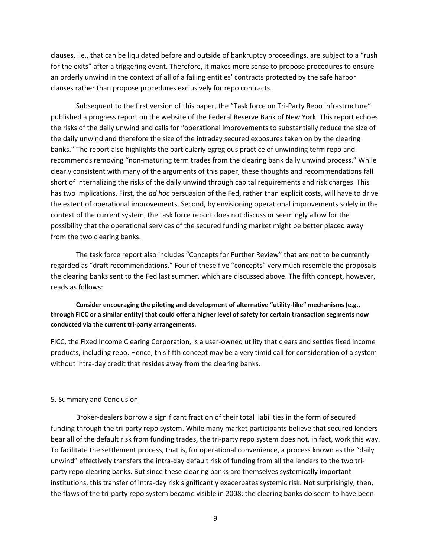clauses, i.e., that can be liquidated before and outside of bankruptcy proceedings, are subject to a "rush for the exits" after a triggering event. Therefore, it makes more sense to propose procedures to ensure an orderly unwind in the context of all of a failing entities' contracts protected by the safe harbor clauses rather than propose procedures exclusively for repo contracts.

 Subsequent to the first version of this paper, the "Task force on Tri-Party Repo Infrastructure" published a progress report on the website of the Federal Reserve Bank of New York. This report echoes the risks of the daily unwind and calls for "operational improvements to substantially reduce the size of the daily unwind and therefore the size of the intraday secured exposures taken on by the clearing banks." The report also highlights the particularly egregious practice of unwinding term repo and recommends removing "non-maturing term trades from the clearing bank daily unwind process." While clearly consistent with many of the arguments of this paper, these thoughts and recommendations fall short of internalizing the risks of the daily unwind through capital requirements and risk charges. This has two implications. First, the *ad hoc* persuasion of the Fed, rather than explicit costs, will have to drive the extent of operational improvements. Second, by envisioning operational improvements solely in the context of the current system, the task force report does not discuss or seemingly allow for the possibility that the operational services of the secured funding market might be better placed away from the two clearing banks.

 The task force report also includes "Concepts for Further Review" that are not to be currently regarded as "draft recommendations." Four of these five "concepts" very much resemble the proposals the clearing banks sent to the Fed last summer, which are discussed above. The fifth concept, however, reads as follows:

## **Consider encouraging the piloting and development of alternative "utility-like" mechanisms (e.g., through FICC or a similar entity) that could offer a higher level of safety for certain transaction segments now conducted via the current tri-party arrangements.**

FICC, the Fixed Income Clearing Corporation, is a user-owned utility that clears and settles fixed income products, including repo. Hence, this fifth concept may be a very timid call for consideration of a system without intra-day credit that resides away from the clearing banks.

#### 5. Summary and Conclusion

 Broker-dealers borrow a significant fraction of their total liabilities in the form of secured funding through the tri-party repo system. While many market participants believe that secured lenders bear all of the default risk from funding trades, the tri-party repo system does not, in fact, work this way. To facilitate the settlement process, that is, for operational convenience, a process known as the "daily unwind" effectively transfers the intra-day default risk of funding from all the lenders to the two triparty repo clearing banks. But since these clearing banks are themselves systemically important institutions, this transfer of intra-day risk significantly exacerbates systemic risk. Not surprisingly, then, the flaws of the tri-party repo system became visible in 2008: the clearing banks do seem to have been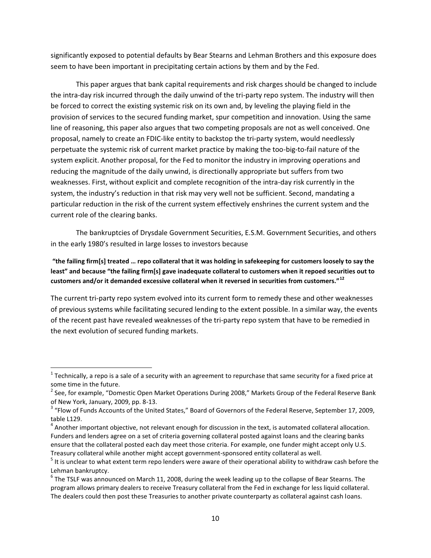significantly exposed to potential defaults by Bear Stearns and Lehman Brothers and this exposure does seem to have been important in precipitating certain actions by them and by the Fed.

 This paper argues that bank capital requirements and risk charges should be changed to include the intra-day risk incurred through the daily unwind of the tri-party repo system. The industry will then be forced to correct the existing systemic risk on its own and, by leveling the playing field in the provision of services to the secured funding market, spur competition and innovation. Using the same line of reasoning, this paper also argues that two competing proposals are not as well conceived. One proposal, namely to create an FDIC-like entity to backstop the tri-party system, would needlessly perpetuate the systemic risk of current market practice by making the too-big-to-fail nature of the system explicit. Another proposal, for the Fed to monitor the industry in improving operations and reducing the magnitude of the daily unwind, is directionally appropriate but suffers from two weaknesses. First, without explicit and complete recognition of the intra-day risk currently in the system, the industry's reduction in that risk may very well not be sufficient. Second, mandating a particular reduction in the risk of the current system effectively enshrines the current system and the current role of the clearing banks.

 The bankruptcies of Drysdale Government Securities, E.S.M. Government Securities, and others in the early 1980's resulted in large losses to investors because

**"the failing firm[s] treated … repo collateral that it was holding in safekeeping for customers loosely to say the least" and because "the failing firm[s] gave inadequate collateral to customers when it repoed securities out to customers and/or it demanded excessive collateral when it reversed in securities from customers."<sup>12</sup>**

The current tri-party repo system evolved into its current form to remedy these and other weaknesses of previous systems while facilitating secured lending to the extent possible. In a similar way, the events of the recent past have revealed weaknesses of the tri-party repo system that have to be remedied in the next evolution of secured funding markets.

l

 $^{\rm 1}$  Technically, a repo is a sale of a security with an agreement to repurchase that same security for a fixed price at some time in the future.

 $^2$  See, for example, "Domestic Open Market Operations During 2008," Markets Group of the Federal Reserve Bank of New York, January, 2009, pp. 8-13.

 $^3$  "Flow of Funds Accounts of the United States," Board of Governors of the Federal Reserve, September 17, 2009, table L129.

 $^4$  Another important objective, not relevant enough for discussion in the text, is automated collateral allocation. Funders and lenders agree on a set of criteria governing collateral posted against loans and the clearing banks ensure that the collateral posted each day meet those criteria. For example, one funder might accept only U.S. Treasury collateral while another might accept government-sponsored entity collateral as well. 5

 $5$  It is unclear to what extent term repo lenders were aware of their operational ability to withdraw cash before the Lehman bankruptcy.

 $^6$  The TSLF was announced on March 11, 2008, during the week leading up to the collapse of Bear Stearns. The program allows primary dealers to receive Treasury collateral from the Fed in exchange for less liquid collateral. The dealers could then post these Treasuries to another private counterparty as collateral against cash loans.